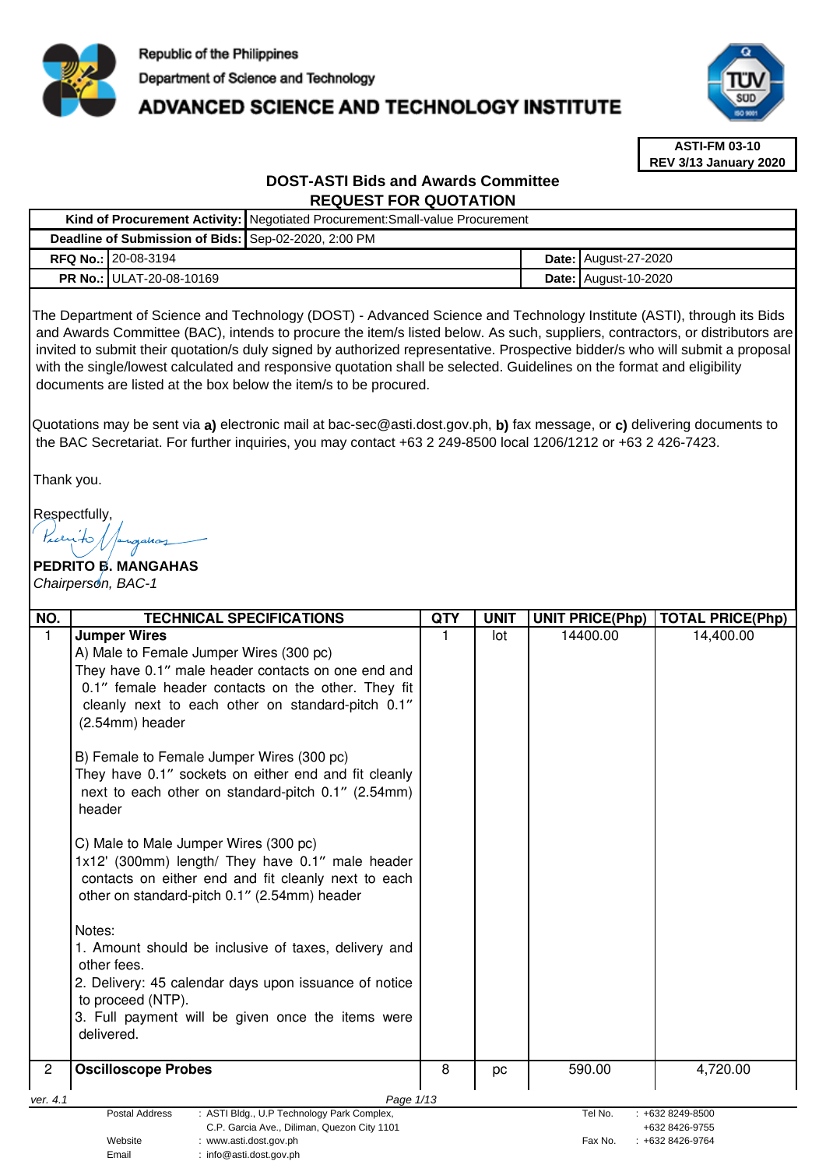

# **ADVANCED SCIENCE AND TECHNOLOGY INSTITUTE**



**ASTI-FM 03-10 REV 3/13 January 2020**

# **DOST-ASTI Bids and Awards Committee REQUEST FOR QUOTATION**

|                                                      | Kind of Procurement Activity:   Negotiated Procurement: Small-value Procurement |  |                               |  |
|------------------------------------------------------|---------------------------------------------------------------------------------|--|-------------------------------|--|
| Deadline of Submission of Bids: Sep-02-2020, 2:00 PM |                                                                                 |  |                               |  |
| <b>RFQ No.: 20-08-3194</b>                           |                                                                                 |  | <b>Date: August-27-2020</b>   |  |
| <b>PR No.: ULAT-20-08-10169</b>                      |                                                                                 |  | <b>Date:   August-10-2020</b> |  |

The Department of Science and Technology (DOST) - Advanced Science and Technology Institute (ASTI), through its Bids and Awards Committee (BAC), intends to procure the item/s listed below. As such, suppliers, contractors, or distributors are invited to submit their quotation/s duly signed by authorized representative. Prospective bidder/s who will submit a proposal with the single/lowest calculated and responsive quotation shall be selected. Guidelines on the format and eligibility documents are listed at the box below the item/s to be procured.

Quotations may be sent via **a)** electronic mail at bac-sec@asti.dost.gov.ph, **b)** fax message, or **c)** delivering documents to the BAC Secretariat. For further inquiries, you may contact +63 2 249-8500 local 1206/1212 or +63 2 426-7423.

Thank you.

Respectfully,

# **PEDRITO B. MANGAHAS**  Chairperson, BAC-1

Email : info@asti.dost.gov.ph

| NO.            | <b>TECHNICAL SPECIFICATIONS</b>                                                                                                                                                                                                                                                                                                                                                                                                                                                                                                                                                                                                                                                                                                                                                                                                                 | <b>QTY</b> | <b>UNIT</b> | <b>UNIT PRICE(Php)</b> | <b>TOTAL PRICE(Php)</b> |  |
|----------------|-------------------------------------------------------------------------------------------------------------------------------------------------------------------------------------------------------------------------------------------------------------------------------------------------------------------------------------------------------------------------------------------------------------------------------------------------------------------------------------------------------------------------------------------------------------------------------------------------------------------------------------------------------------------------------------------------------------------------------------------------------------------------------------------------------------------------------------------------|------------|-------------|------------------------|-------------------------|--|
|                | <b>Jumper Wires</b><br>A) Male to Female Jumper Wires (300 pc)<br>They have 0.1" male header contacts on one end and<br>0.1" female header contacts on the other. They fit<br>cleanly next to each other on standard-pitch 0.1"<br>(2.54mm) header<br>B) Female to Female Jumper Wires (300 pc)<br>They have 0.1" sockets on either end and fit cleanly<br>next to each other on standard-pitch 0.1" (2.54mm)<br>header<br>C) Male to Male Jumper Wires (300 pc)<br>1x12' (300mm) length/ They have 0.1" male header<br>contacts on either end and fit cleanly next to each<br>other on standard-pitch 0.1" (2.54mm) header<br>Notes:<br>1. Amount should be inclusive of taxes, delivery and<br>other fees.<br>2. Delivery: 45 calendar days upon issuance of notice<br>to proceed (NTP).<br>3. Full payment will be given once the items were |            | lot         | 14400.00               | 14,400.00               |  |
|                | delivered.                                                                                                                                                                                                                                                                                                                                                                                                                                                                                                                                                                                                                                                                                                                                                                                                                                      |            |             |                        |                         |  |
| $\overline{2}$ | <b>Oscilloscope Probes</b>                                                                                                                                                                                                                                                                                                                                                                                                                                                                                                                                                                                                                                                                                                                                                                                                                      | 8          | pc          | 590.00                 | 4,720.00                |  |
| ver. 4.1       | Page 1/13                                                                                                                                                                                                                                                                                                                                                                                                                                                                                                                                                                                                                                                                                                                                                                                                                                       |            |             |                        |                         |  |
|                | Postal Address<br>: ASTI Bldg., U.P Technology Park Complex,<br>Tel No.<br>: +632 8249-8500<br>C.P. Garcia Ave., Diliman, Quezon City 1101<br>+632 8426-9755                                                                                                                                                                                                                                                                                                                                                                                                                                                                                                                                                                                                                                                                                    |            |             |                        |                         |  |
|                | Website<br>:www.asti.dost.ɑov.ɒh                                                                                                                                                                                                                                                                                                                                                                                                                                                                                                                                                                                                                                                                                                                                                                                                                |            |             | Fax No.                | +632 8426-9764          |  |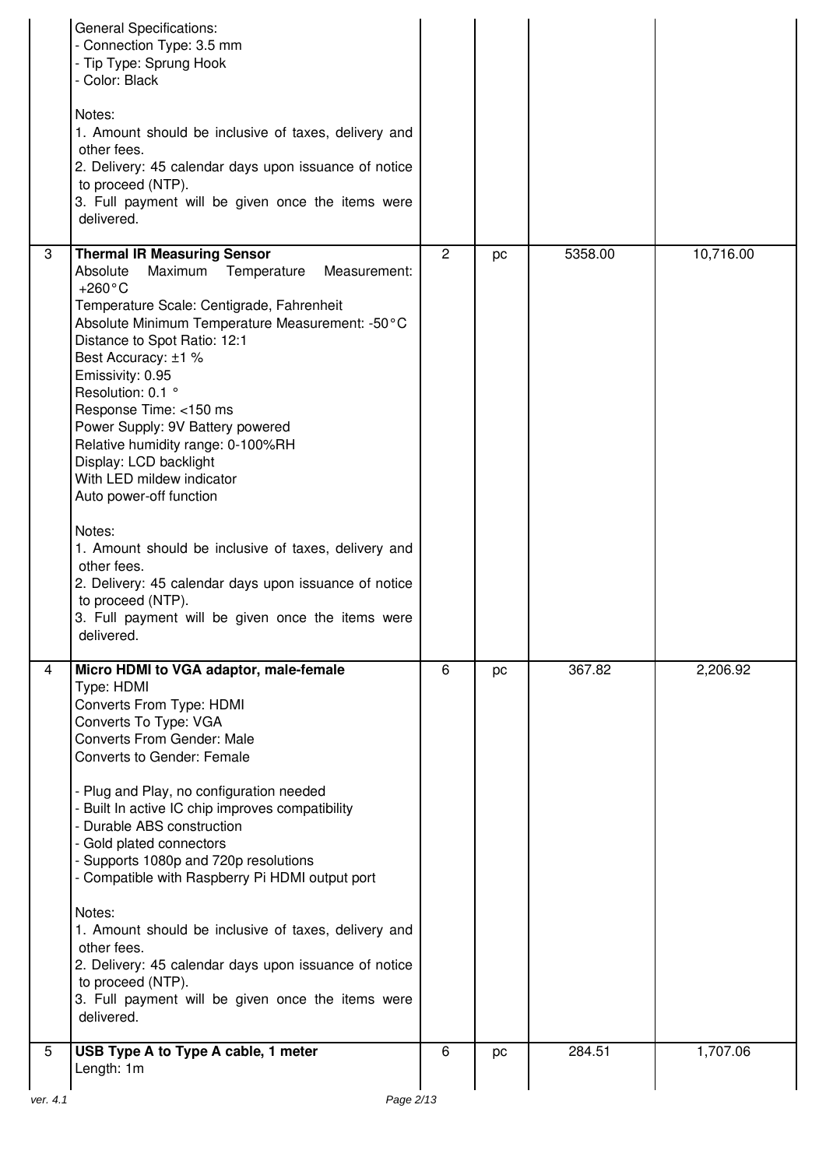|                | <b>General Specifications:</b><br>- Connection Type: 3.5 mm<br>- Tip Type: Sprung Hook<br>- Color: Black<br>Notes:<br>1. Amount should be inclusive of taxes, delivery and<br>other fees.<br>2. Delivery: 45 calendar days upon issuance of notice<br>to proceed (NTP).<br>3. Full payment will be given once the items were<br>delivered.                                                                                                                                                                                                                                                                                                                                  |                |    |         |           |
|----------------|-----------------------------------------------------------------------------------------------------------------------------------------------------------------------------------------------------------------------------------------------------------------------------------------------------------------------------------------------------------------------------------------------------------------------------------------------------------------------------------------------------------------------------------------------------------------------------------------------------------------------------------------------------------------------------|----------------|----|---------|-----------|
| 3              | <b>Thermal IR Measuring Sensor</b><br>Absolute<br>Maximum<br>Temperature<br>Measurement:<br>$+260^{\circ}$ C<br>Temperature Scale: Centigrade, Fahrenheit<br>Absolute Minimum Temperature Measurement: -50°C<br>Distance to Spot Ratio: 12:1<br>Best Accuracy: ±1 %<br>Emissivity: 0.95<br>Resolution: 0.1 °<br>Response Time: <150 ms<br>Power Supply: 9V Battery powered<br>Relative humidity range: 0-100%RH<br>Display: LCD backlight<br>With LED mildew indicator<br>Auto power-off function<br>Notes:<br>1. Amount should be inclusive of taxes, delivery and<br>other fees.<br>2. Delivery: 45 calendar days upon issuance of notice                                 | $\overline{2}$ | pc | 5358.00 | 10,716.00 |
|                | to proceed (NTP).<br>3. Full payment will be given once the items were<br>delivered.                                                                                                                                                                                                                                                                                                                                                                                                                                                                                                                                                                                        |                |    |         |           |
| $\overline{4}$ | Micro HDMI to VGA adaptor, male-female<br>Type: HDMI<br>Converts From Type: HDMI<br>Converts To Type: VGA<br><b>Converts From Gender: Male</b><br><b>Converts to Gender: Female</b><br>- Plug and Play, no configuration needed<br>- Built In active IC chip improves compatibility<br>- Durable ABS construction<br>- Gold plated connectors<br>- Supports 1080p and 720p resolutions<br>- Compatible with Raspberry Pi HDMI output port<br>Notes:<br>1. Amount should be inclusive of taxes, delivery and<br>other fees.<br>2. Delivery: 45 calendar days upon issuance of notice<br>to proceed (NTP).<br>3. Full payment will be given once the items were<br>delivered. | 6              | pc | 367.82  | 2,206.92  |
| 5              | USB Type A to Type A cable, 1 meter<br>Length: 1m                                                                                                                                                                                                                                                                                                                                                                                                                                                                                                                                                                                                                           | 6              | pc | 284.51  | 1,707.06  |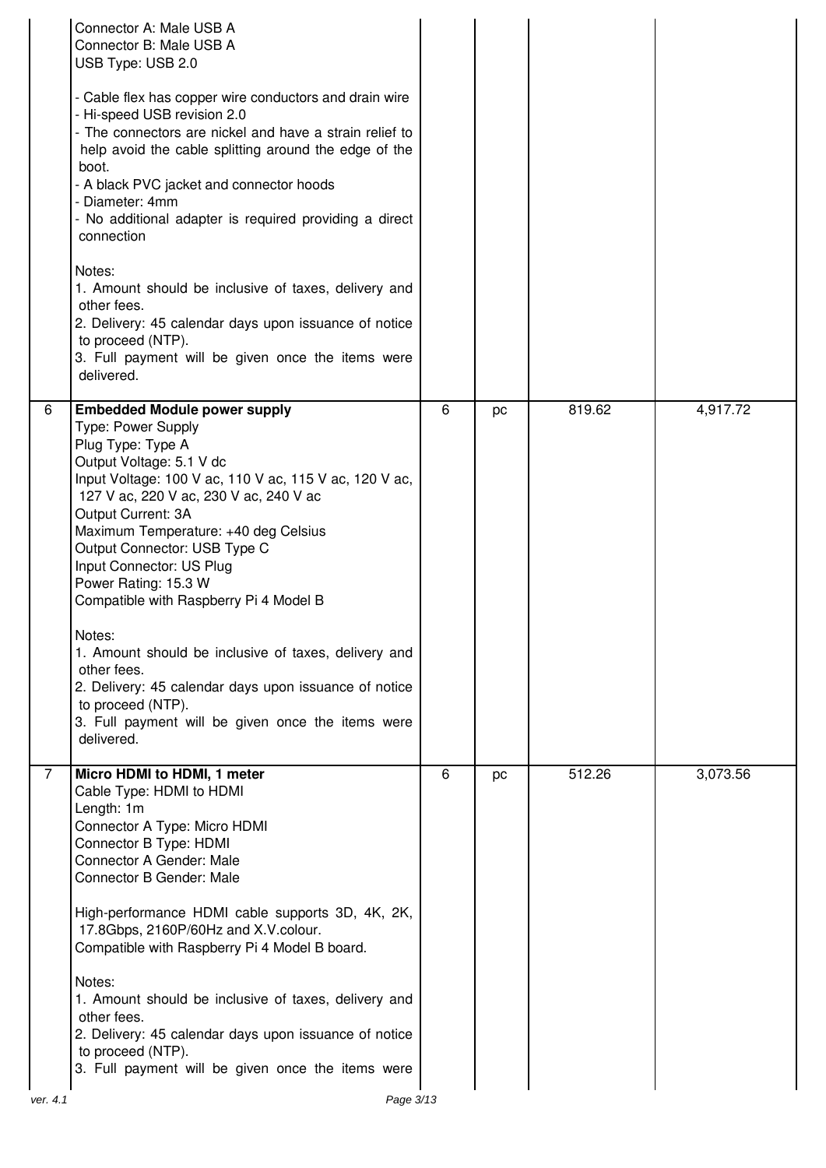|               | Connector A: Male USB A<br>Connector B: Male USB A<br>USB Type: USB 2.0<br>- Cable flex has copper wire conductors and drain wire<br>- Hi-speed USB revision 2.0<br>- The connectors are nickel and have a strain relief to<br>help avoid the cable splitting around the edge of the<br>boot.<br>- A black PVC jacket and connector hoods<br>- Diameter: 4mm<br>- No additional adapter is required providing a direct<br>connection<br>Notes:<br>1. Amount should be inclusive of taxes, delivery and<br>other fees.<br>2. Delivery: 45 calendar days upon issuance of notice<br>to proceed (NTP).<br>3. Full payment will be given once the items were<br>delivered. |   |    |        |          |
|---------------|------------------------------------------------------------------------------------------------------------------------------------------------------------------------------------------------------------------------------------------------------------------------------------------------------------------------------------------------------------------------------------------------------------------------------------------------------------------------------------------------------------------------------------------------------------------------------------------------------------------------------------------------------------------------|---|----|--------|----------|
| 6             | <b>Embedded Module power supply</b><br><b>Type: Power Supply</b><br>Plug Type: Type A<br>Output Voltage: 5.1 V dc<br>Input Voltage: 100 V ac, 110 V ac, 115 V ac, 120 V ac,<br>127 V ac, 220 V ac, 230 V ac, 240 V ac<br>Output Current: 3A<br>Maximum Temperature: +40 deg Celsius<br>Output Connector: USB Type C<br>Input Connector: US Plug<br>Power Rating: 15.3 W<br>Compatible with Raspberry Pi 4 Model B<br>Notes:<br>1. Amount should be inclusive of taxes, delivery and<br>other fees.<br>2. Delivery: 45 calendar days upon issuance of notice<br>to proceed (NTP).<br>3. Full payment will be given once the items were<br>delivered.                    | 6 | pc | 819.62 | 4,917.72 |
| 7<br>ver. 4.1 | Micro HDMI to HDMI, 1 meter<br>Cable Type: HDMI to HDMI<br>Length: 1m<br>Connector A Type: Micro HDMI<br>Connector B Type: HDMI<br>Connector A Gender: Male<br>Connector B Gender: Male<br>High-performance HDMI cable supports 3D, 4K, 2K,<br>17.8Gbps, 2160P/60Hz and X.V.colour.<br>Compatible with Raspberry Pi 4 Model B board.<br>Notes:<br>1. Amount should be inclusive of taxes, delivery and<br>other fees.<br>2. Delivery: 45 calendar days upon issuance of notice<br>to proceed (NTP).<br>3. Full payment will be given once the items were<br>Page 3/13                                                                                                  | 6 | pc | 512.26 | 3,073.56 |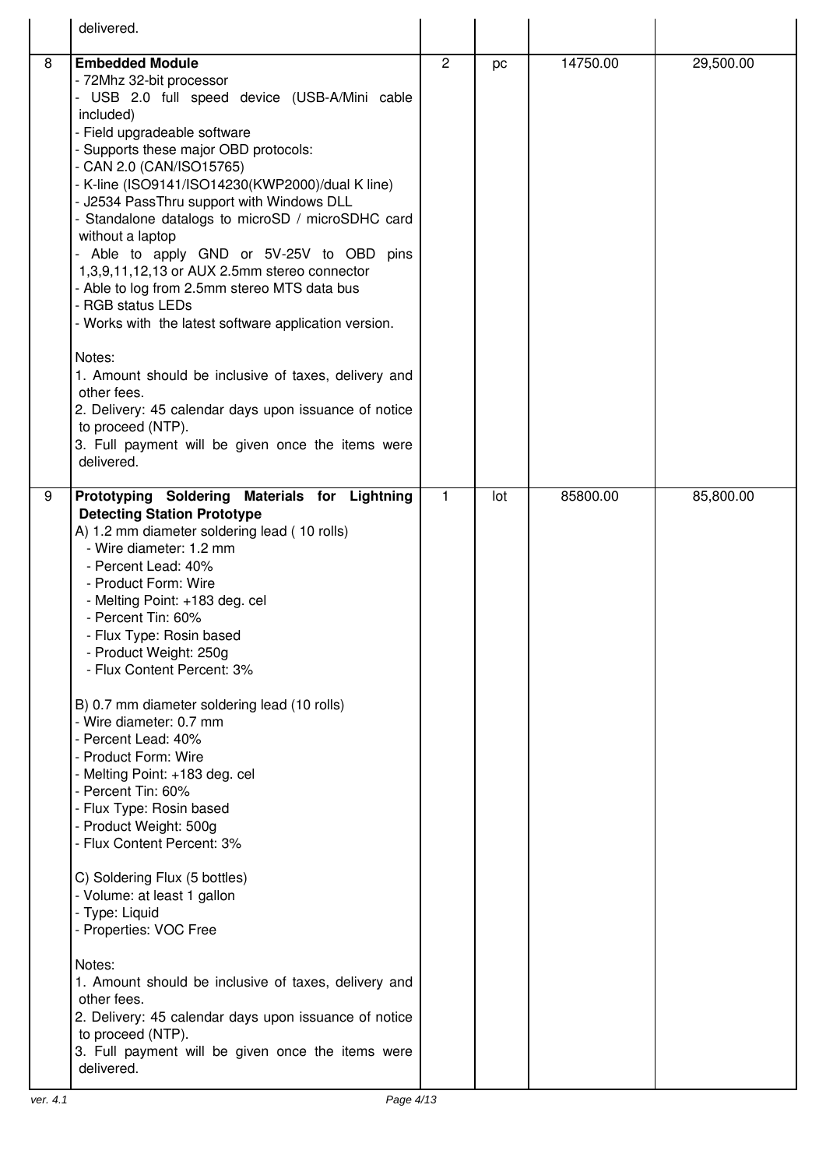|   | delivered.                                                                                |                |     |          |           |
|---|-------------------------------------------------------------------------------------------|----------------|-----|----------|-----------|
|   |                                                                                           |                |     |          |           |
| 8 | <b>Embedded Module</b><br>- 72Mhz 32-bit processor                                        | $\overline{c}$ | pc  | 14750.00 | 29,500.00 |
|   | - USB 2.0 full speed device (USB-A/Mini cable                                             |                |     |          |           |
|   | included)                                                                                 |                |     |          |           |
|   | - Field upgradeable software                                                              |                |     |          |           |
|   | - Supports these major OBD protocols:<br>- CAN 2.0 (CAN/ISO15765)                         |                |     |          |           |
|   | - K-line (ISO9141/ISO14230(KWP2000)/dual K line)                                          |                |     |          |           |
|   | - J2534 PassThru support with Windows DLL                                                 |                |     |          |           |
|   | - Standalone datalogs to microSD / microSDHC card                                         |                |     |          |           |
|   | without a laptop                                                                          |                |     |          |           |
|   | - Able to apply GND or 5V-25V to OBD pins<br>1,3,9,11,12,13 or AUX 2.5mm stereo connector |                |     |          |           |
|   | - Able to log from 2.5mm stereo MTS data bus                                              |                |     |          |           |
|   | - RGB status LEDs                                                                         |                |     |          |           |
|   | - Works with the latest software application version.                                     |                |     |          |           |
|   | Notes:                                                                                    |                |     |          |           |
|   | 1. Amount should be inclusive of taxes, delivery and<br>other fees.                       |                |     |          |           |
|   | 2. Delivery: 45 calendar days upon issuance of notice                                     |                |     |          |           |
|   | to proceed (NTP).                                                                         |                |     |          |           |
|   | 3. Full payment will be given once the items were                                         |                |     |          |           |
|   | delivered.                                                                                |                |     |          |           |
| 9 | Prototyping Soldering Materials for Lightning                                             | 1              | lot | 85800.00 | 85,800.00 |
|   | <b>Detecting Station Prototype</b><br>A) 1.2 mm diameter soldering lead (10 rolls)        |                |     |          |           |
|   | - Wire diameter: 1.2 mm                                                                   |                |     |          |           |
|   | - Percent Lead: 40%                                                                       |                |     |          |           |
|   | - Product Form: Wire                                                                      |                |     |          |           |
|   | - Melting Point: +183 deg. cel<br>- Percent Tin: 60%                                      |                |     |          |           |
|   | - Flux Type: Rosin based                                                                  |                |     |          |           |
|   | - Product Weight: 250g                                                                    |                |     |          |           |
|   | - Flux Content Percent: 3%                                                                |                |     |          |           |
|   | B) 0.7 mm diameter soldering lead (10 rolls)                                              |                |     |          |           |
|   | - Wire diameter: 0.7 mm                                                                   |                |     |          |           |
|   | - Percent Lead: 40%                                                                       |                |     |          |           |
|   | - Product Form: Wire<br>- Melting Point: +183 deg. cel                                    |                |     |          |           |
|   | - Percent Tin: 60%                                                                        |                |     |          |           |
|   | - Flux Type: Rosin based                                                                  |                |     |          |           |
|   | - Product Weight: 500g                                                                    |                |     |          |           |
|   | - Flux Content Percent: 3%                                                                |                |     |          |           |
|   | C) Soldering Flux (5 bottles)                                                             |                |     |          |           |
|   | - Volume: at least 1 gallon                                                               |                |     |          |           |
|   | - Type: Liquid<br>- Properties: VOC Free                                                  |                |     |          |           |
|   |                                                                                           |                |     |          |           |
|   | Notes:                                                                                    |                |     |          |           |
|   | 1. Amount should be inclusive of taxes, delivery and<br>other fees.                       |                |     |          |           |
|   | 2. Delivery: 45 calendar days upon issuance of notice                                     |                |     |          |           |
|   | to proceed (NTP).                                                                         |                |     |          |           |
|   | 3. Full payment will be given once the items were                                         |                |     |          |           |
|   | delivered.                                                                                |                |     |          |           |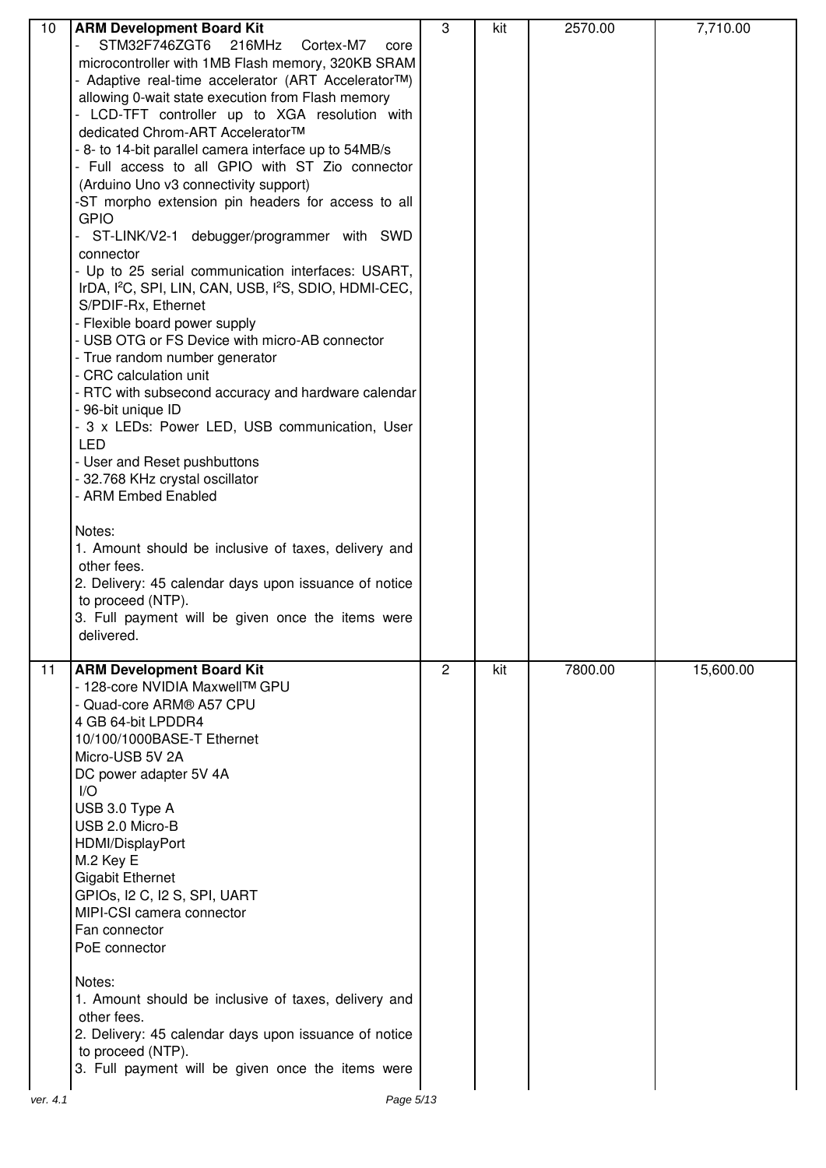| 10       | <b>ARM Development Board Kit</b>                                              | 3              | kit | 2570.00 | 7,710.00  |
|----------|-------------------------------------------------------------------------------|----------------|-----|---------|-----------|
|          | STM32F746ZGT6<br>216MHz<br>Cortex-M7<br>core                                  |                |     |         |           |
|          | microcontroller with 1MB Flash memory, 320KB SRAM                             |                |     |         |           |
|          | - Adaptive real-time accelerator (ART AcceleratorTM)                          |                |     |         |           |
|          | allowing 0-wait state execution from Flash memory                             |                |     |         |           |
|          | LCD-TFT controller up to XGA resolution with                                  |                |     |         |           |
|          | dedicated Chrom-ART Accelerator™                                              |                |     |         |           |
|          | - 8- to 14-bit parallel camera interface up to 54MB/s                         |                |     |         |           |
|          | - Full access to all GPIO with ST Zio connector                               |                |     |         |           |
|          | (Arduino Uno v3 connectivity support)                                         |                |     |         |           |
|          | -ST morpho extension pin headers for access to all                            |                |     |         |           |
|          | <b>GPIO</b>                                                                   |                |     |         |           |
|          | ST-LINK/V2-1 debugger/programmer with SWD                                     |                |     |         |           |
|          | connector                                                                     |                |     |         |           |
|          | - Up to 25 serial communication interfaces: USART,                            |                |     |         |           |
|          | IrDA, I <sup>2</sup> C, SPI, LIN, CAN, USB, I <sup>2</sup> S, SDIO, HDMI-CEC, |                |     |         |           |
|          | S/PDIF-Rx, Ethernet                                                           |                |     |         |           |
|          | - Flexible board power supply                                                 |                |     |         |           |
|          | - USB OTG or FS Device with micro-AB connector                                |                |     |         |           |
|          | - True random number generator                                                |                |     |         |           |
|          | - CRC calculation unit                                                        |                |     |         |           |
|          | - RTC with subsecond accuracy and hardware calendar                           |                |     |         |           |
|          | - 96-bit unique ID                                                            |                |     |         |           |
|          | - 3 x LEDs: Power LED, USB communication, User                                |                |     |         |           |
|          | <b>LED</b>                                                                    |                |     |         |           |
|          | - User and Reset pushbuttons                                                  |                |     |         |           |
|          | - 32.768 KHz crystal oscillator<br>- ARM Embed Enabled                        |                |     |         |           |
|          |                                                                               |                |     |         |           |
|          | Notes:                                                                        |                |     |         |           |
|          | 1. Amount should be inclusive of taxes, delivery and                          |                |     |         |           |
|          | other fees.                                                                   |                |     |         |           |
|          | 2. Delivery: 45 calendar days upon issuance of notice                         |                |     |         |           |
|          | to proceed (NTP).                                                             |                |     |         |           |
|          | 3. Full payment will be given once the items were                             |                |     |         |           |
|          | delivered.                                                                    |                |     |         |           |
|          |                                                                               |                |     |         |           |
| 11       | <b>ARM Development Board Kit</b>                                              | $\overline{2}$ | kit | 7800.00 | 15,600.00 |
|          | - 128-core NVIDIA MaxwellTM GPU                                               |                |     |         |           |
|          | - Quad-core ARM® A57 CPU                                                      |                |     |         |           |
|          | 4 GB 64-bit LPDDR4                                                            |                |     |         |           |
|          | 10/100/1000BASE-T Ethernet                                                    |                |     |         |           |
|          | Micro-USB 5V 2A                                                               |                |     |         |           |
|          | DC power adapter 5V 4A                                                        |                |     |         |           |
|          | 1/O                                                                           |                |     |         |           |
|          | USB 3.0 Type A                                                                |                |     |         |           |
|          | USB 2.0 Micro-B                                                               |                |     |         |           |
|          | HDMI/DisplayPort                                                              |                |     |         |           |
|          | M.2 Key E                                                                     |                |     |         |           |
|          | <b>Gigabit Ethernet</b>                                                       |                |     |         |           |
|          | GPIOS, I2 C, I2 S, SPI, UART                                                  |                |     |         |           |
|          | MIPI-CSI camera connector<br>Fan connector                                    |                |     |         |           |
|          | PoE connector                                                                 |                |     |         |           |
|          |                                                                               |                |     |         |           |
|          | Notes:                                                                        |                |     |         |           |
|          | 1. Amount should be inclusive of taxes, delivery and                          |                |     |         |           |
|          | other fees.                                                                   |                |     |         |           |
|          | 2. Delivery: 45 calendar days upon issuance of notice                         |                |     |         |           |
|          | to proceed (NTP).                                                             |                |     |         |           |
|          | 3. Full payment will be given once the items were                             |                |     |         |           |
|          |                                                                               |                |     |         |           |
| ver. 4.1 | Page 5/13                                                                     |                |     |         |           |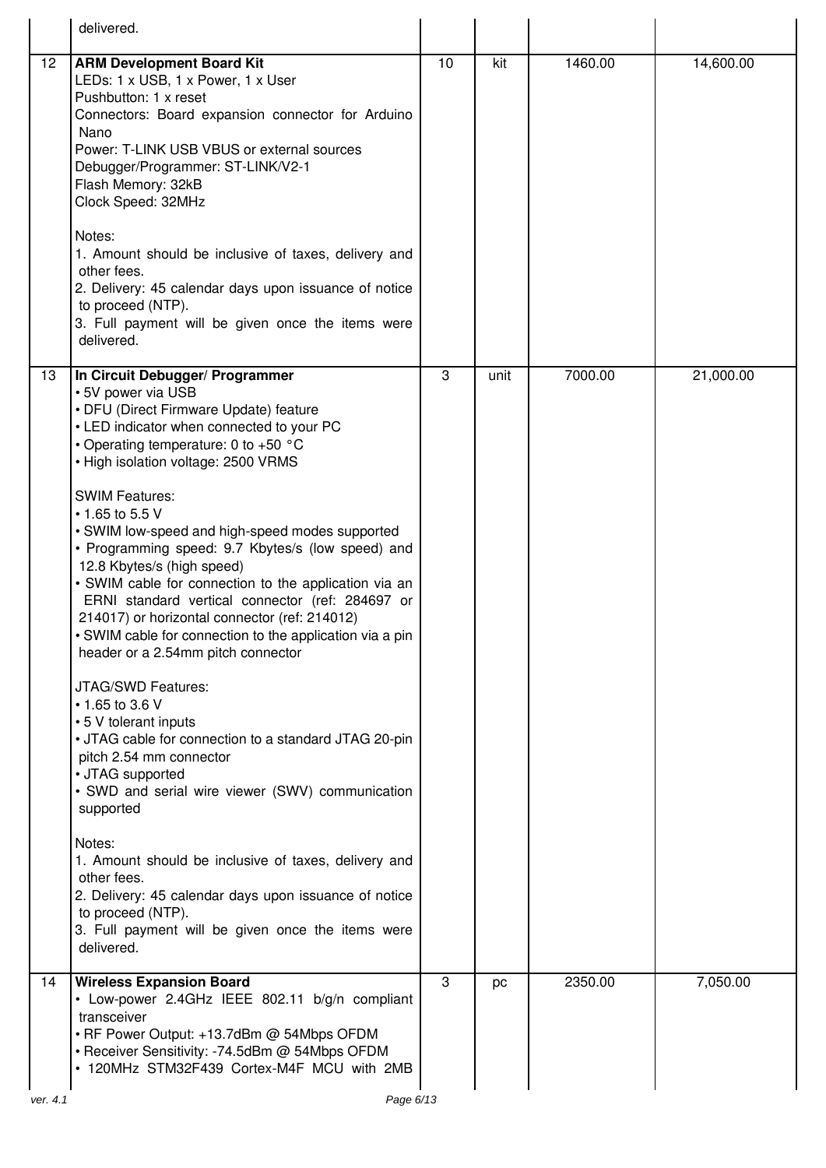|                 | delivered.                                                                                                                                                                                                                                                                                                                                                                                                                                                                                                                                                                                                                                                                                                                                                                                                                                                                                                                                                                                                                                                                                                                                                             |    |      |         |           |
|-----------------|------------------------------------------------------------------------------------------------------------------------------------------------------------------------------------------------------------------------------------------------------------------------------------------------------------------------------------------------------------------------------------------------------------------------------------------------------------------------------------------------------------------------------------------------------------------------------------------------------------------------------------------------------------------------------------------------------------------------------------------------------------------------------------------------------------------------------------------------------------------------------------------------------------------------------------------------------------------------------------------------------------------------------------------------------------------------------------------------------------------------------------------------------------------------|----|------|---------|-----------|
| 12 <sup>°</sup> | <b>ARM Development Board Kit</b><br>LEDs: 1 x USB, 1 x Power, 1 x User<br>Pushbutton: 1 x reset<br>Connectors: Board expansion connector for Arduino<br>Nano<br>Power: T-LINK USB VBUS or external sources<br>Debugger/Programmer: ST-LINK/V2-1<br>Flash Memory: 32kB<br>Clock Speed: 32MHz<br>Notes:<br>1. Amount should be inclusive of taxes, delivery and<br>other fees.<br>2. Delivery: 45 calendar days upon issuance of notice<br>to proceed (NTP).<br>3. Full payment will be given once the items were<br>delivered.                                                                                                                                                                                                                                                                                                                                                                                                                                                                                                                                                                                                                                          | 10 | kit  | 1460.00 | 14,600.00 |
| 13              | In Circuit Debugger/ Programmer<br>• 5V power via USB<br>• DFU (Direct Firmware Update) feature<br>• LED indicator when connected to your PC<br>• Operating temperature: 0 to +50 °C<br>• High isolation voltage: 2500 VRMS<br><b>SWIM Features:</b><br>$\cdot$ 1.65 to 5.5 V<br>• SWIM low-speed and high-speed modes supported<br>• Programming speed: 9.7 Kbytes/s (low speed) and<br>12.8 Kbytes/s (high speed)<br>• SWIM cable for connection to the application via an<br>ERNI standard vertical connector (ref: 284697 or<br>214017) or horizontal connector (ref: 214012)<br>• SWIM cable for connection to the application via a pin<br>header or a 2.54mm pitch connector<br>JTAG/SWD Features:<br>$\cdot$ 1.65 to 3.6 V<br>• 5 V tolerant inputs<br>• JTAG cable for connection to a standard JTAG 20-pin<br>pitch 2.54 mm connector<br>• JTAG supported<br>· SWD and serial wire viewer (SWV) communication<br>supported<br>Notes:<br>1. Amount should be inclusive of taxes, delivery and<br>other fees.<br>2. Delivery: 45 calendar days upon issuance of notice<br>to proceed (NTP).<br>3. Full payment will be given once the items were<br>delivered. | 3  | unit | 7000.00 | 21,000.00 |
| 14              | <b>Wireless Expansion Board</b><br>• Low-power 2.4GHz IEEE 802.11 b/g/n compliant<br>transceiver<br>• RF Power Output: +13.7dBm @ 54Mbps OFDM<br>• Receiver Sensitivity: -74.5dBm @ 54Mbps OFDM<br>• 120MHz STM32F439 Cortex-M4F MCU with 2MB                                                                                                                                                                                                                                                                                                                                                                                                                                                                                                                                                                                                                                                                                                                                                                                                                                                                                                                          | 3  | pc   | 2350.00 | 7,050.00  |
| ver. 4.1        | Page 6/13                                                                                                                                                                                                                                                                                                                                                                                                                                                                                                                                                                                                                                                                                                                                                                                                                                                                                                                                                                                                                                                                                                                                                              |    |      |         |           |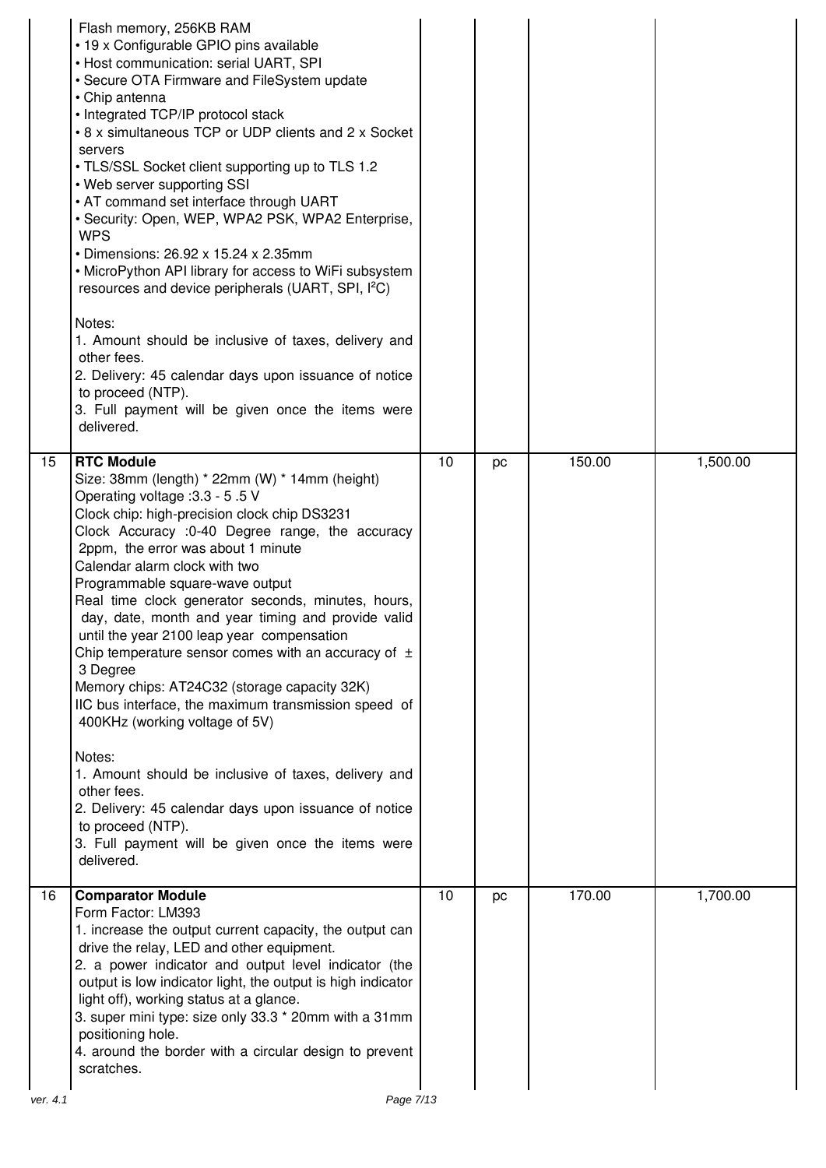|    | Flash memory, 256KB RAM<br>• 19 x Configurable GPIO pins available<br>• Host communication: serial UART, SPI<br>• Secure OTA Firmware and FileSystem update<br>• Chip antenna<br>• Integrated TCP/IP protocol stack<br>• 8 x simultaneous TCP or UDP clients and 2 x Socket<br>servers<br>• TLS/SSL Socket client supporting up to TLS 1.2<br>• Web server supporting SSI<br>• AT command set interface through UART<br>• Security: Open, WEP, WPA2 PSK, WPA2 Enterprise,<br><b>WPS</b><br>• Dimensions: 26.92 x 15.24 x 2.35mm<br>• MicroPython API library for access to WiFi subsystem<br>resources and device peripherals (UART, SPI, I <sup>2</sup> C)<br>Notes:<br>1. Amount should be inclusive of taxes, delivery and<br>other fees.<br>2. Delivery: 45 calendar days upon issuance of notice<br>to proceed (NTP).<br>3. Full payment will be given once the items were<br>delivered.                                    |    |    |        |          |
|----|----------------------------------------------------------------------------------------------------------------------------------------------------------------------------------------------------------------------------------------------------------------------------------------------------------------------------------------------------------------------------------------------------------------------------------------------------------------------------------------------------------------------------------------------------------------------------------------------------------------------------------------------------------------------------------------------------------------------------------------------------------------------------------------------------------------------------------------------------------------------------------------------------------------------------------|----|----|--------|----------|
| 15 | <b>RTC Module</b><br>Size: 38mm (length) * 22mm (W) * 14mm (height)<br>Operating voltage : 3.3 - 5.5 V<br>Clock chip: high-precision clock chip DS3231<br>Clock Accuracy :0-40 Degree range, the accuracy<br>2ppm, the error was about 1 minute<br>Calendar alarm clock with two<br>Programmable square-wave output<br>Real time clock generator seconds, minutes, hours,<br>day, date, month and year timing and provide valid<br>until the year 2100 leap year compensation<br>Chip temperature sensor comes with an accuracy of $\pm$<br>3 Degree<br>Memory chips: AT24C32 (storage capacity 32K)<br>IIC bus interface, the maximum transmission speed of<br>400KHz (working voltage of 5V)<br>Notes:<br>1. Amount should be inclusive of taxes, delivery and<br>other fees.<br>2. Delivery: 45 calendar days upon issuance of notice<br>to proceed (NTP).<br>3. Full payment will be given once the items were<br>delivered. | 10 | pc | 150.00 | 1,500.00 |
| 16 | <b>Comparator Module</b><br>Form Factor: LM393<br>1. increase the output current capacity, the output can<br>drive the relay, LED and other equipment.<br>2. a power indicator and output level indicator (the<br>output is low indicator light, the output is high indicator<br>light off), working status at a glance.<br>3. super mini type: size only 33.3 * 20mm with a 31mm<br>positioning hole.<br>4. around the border with a circular design to prevent<br>scratches.                                                                                                                                                                                                                                                                                                                                                                                                                                                   | 10 | pc | 170.00 | 1,700.00 |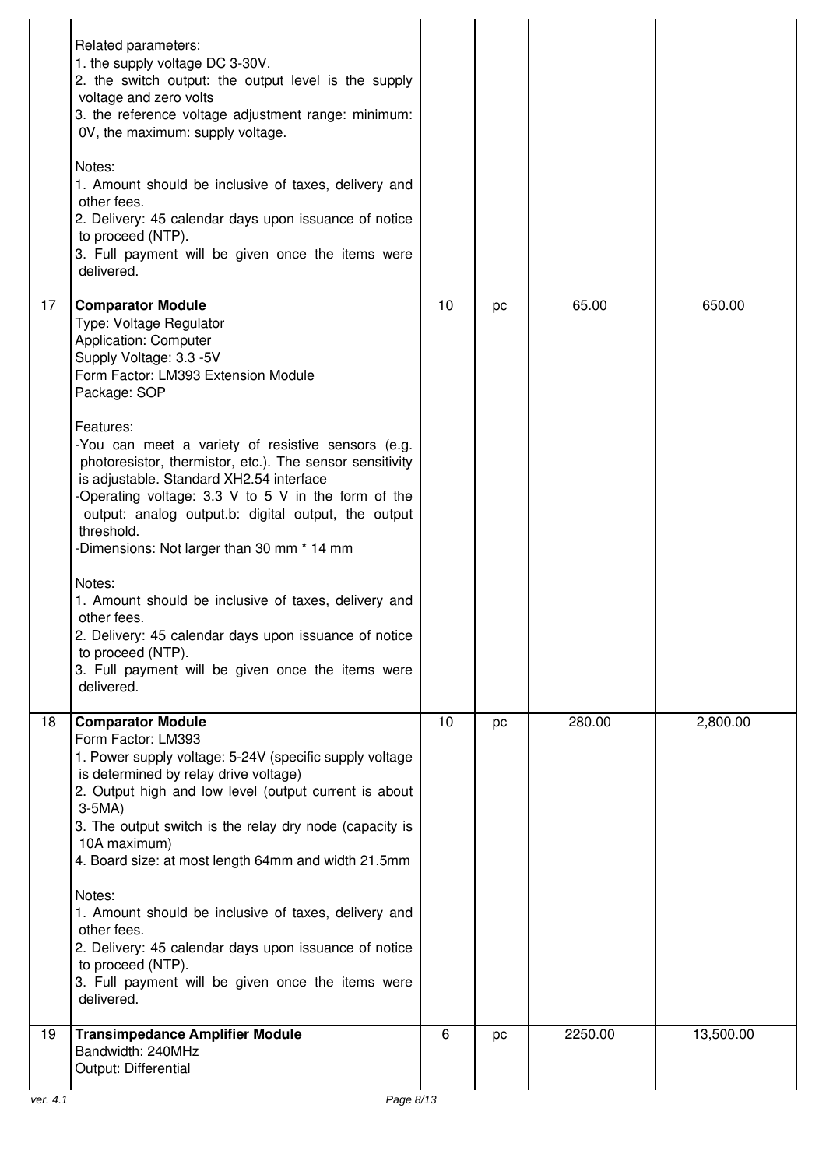|                | Related parameters:<br>1. the supply voltage DC 3-30V.<br>2. the switch output: the output level is the supply<br>voltage and zero volts<br>3. the reference voltage adjustment range: minimum:<br>0V, the maximum: supply voltage.<br>Notes:<br>1. Amount should be inclusive of taxes, delivery and<br>other fees.<br>2. Delivery: 45 calendar days upon issuance of notice<br>to proceed (NTP).<br>3. Full payment will be given once the items were<br>delivered.                                                                                                                                                                                                                                                                                      |    |    |         |           |
|----------------|------------------------------------------------------------------------------------------------------------------------------------------------------------------------------------------------------------------------------------------------------------------------------------------------------------------------------------------------------------------------------------------------------------------------------------------------------------------------------------------------------------------------------------------------------------------------------------------------------------------------------------------------------------------------------------------------------------------------------------------------------------|----|----|---------|-----------|
| 17             | <b>Comparator Module</b><br>Type: Voltage Regulator<br>Application: Computer<br>Supply Voltage: 3.3 -5V<br>Form Factor: LM393 Extension Module<br>Package: SOP<br>Features:<br>-You can meet a variety of resistive sensors (e.g.<br>photoresistor, thermistor, etc.). The sensor sensitivity<br>is adjustable. Standard XH2.54 interface<br>-Operating voltage: $3.3 \,$ V to 5 V in the form of the<br>output: analog output.b: digital output, the output<br>threshold.<br>-Dimensions: Not larger than 30 mm * 14 mm<br>Notes:<br>1. Amount should be inclusive of taxes, delivery and<br>other fees.<br>2. Delivery: 45 calendar days upon issuance of notice<br>to proceed (NTP).<br>3. Full payment will be given once the items were<br>delivered. | 10 | pc | 65.00   | 650.00    |
| 18             | <b>Comparator Module</b><br>Form Factor: LM393<br>1. Power supply voltage: 5-24V (specific supply voltage<br>is determined by relay drive voltage)<br>2. Output high and low level (output current is about<br>$3-5MA$ )<br>3. The output switch is the relay dry node (capacity is<br>10A maximum)<br>4. Board size: at most length 64mm and width 21.5mm<br>Notes:<br>1. Amount should be inclusive of taxes, delivery and<br>other fees.<br>2. Delivery: 45 calendar days upon issuance of notice<br>to proceed (NTP).<br>3. Full payment will be given once the items were<br>delivered.                                                                                                                                                               | 10 | pc | 280.00  | 2,800.00  |
| 19<br>ver. 4.1 | <b>Transimpedance Amplifier Module</b><br>Bandwidth: 240MHz<br>Output: Differential<br>Page 8/13                                                                                                                                                                                                                                                                                                                                                                                                                                                                                                                                                                                                                                                           | 6  | pc | 2250.00 | 13,500.00 |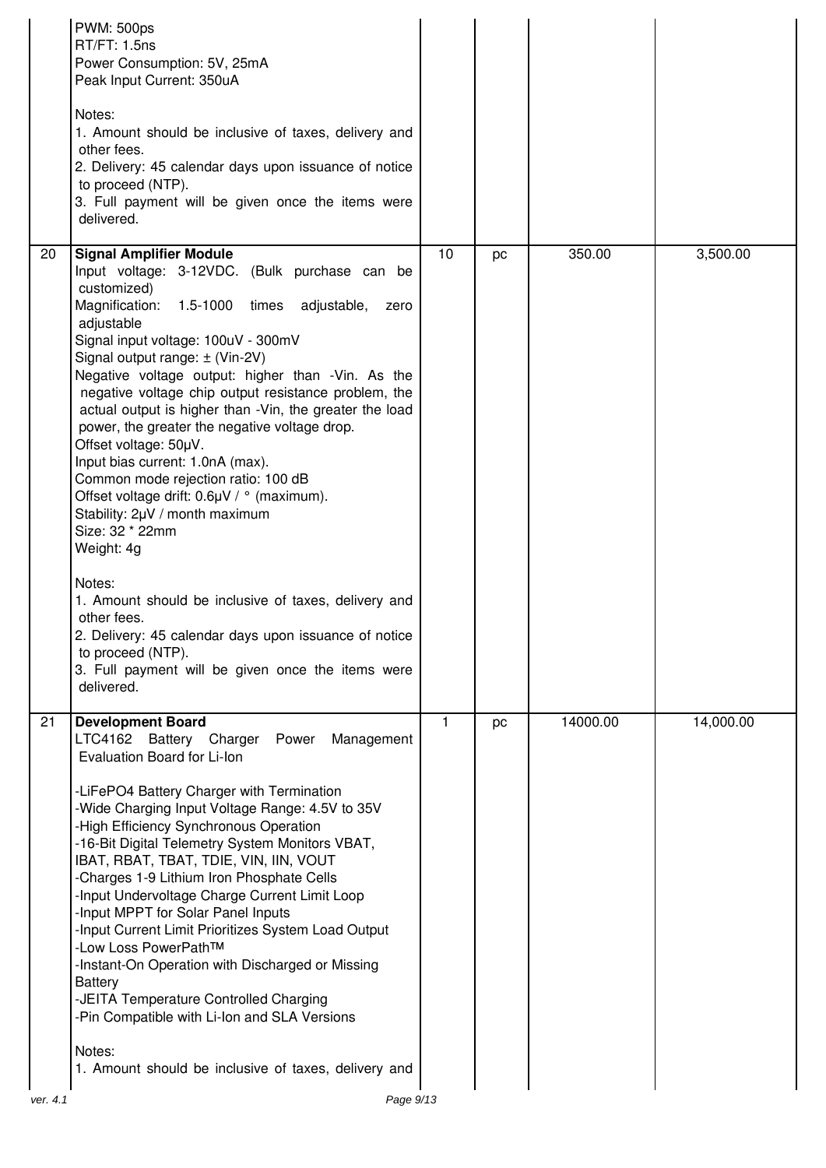|    | <b>PWM: 500ps</b><br>RT/FT: 1.5ns<br>Power Consumption: 5V, 25mA<br>Peak Input Current: 350uA<br>Notes:<br>1. Amount should be inclusive of taxes, delivery and<br>other fees.<br>2. Delivery: 45 calendar days upon issuance of notice<br>to proceed (NTP).<br>3. Full payment will be given once the items were<br>delivered.                                                                                                                                                                                                                                                                                                                                                                                                                                                                                                                                                                                                |    |    |          |           |
|----|--------------------------------------------------------------------------------------------------------------------------------------------------------------------------------------------------------------------------------------------------------------------------------------------------------------------------------------------------------------------------------------------------------------------------------------------------------------------------------------------------------------------------------------------------------------------------------------------------------------------------------------------------------------------------------------------------------------------------------------------------------------------------------------------------------------------------------------------------------------------------------------------------------------------------------|----|----|----------|-----------|
| 20 | <b>Signal Amplifier Module</b><br>Input voltage: 3-12VDC. (Bulk purchase can be<br>customized)<br>Magnification:<br>1.5-1000 times adjustable,<br>zero<br>adjustable<br>Signal input voltage: 100uV - 300mV<br>Signal output range: ± (Vin-2V)<br>Negative voltage output: higher than -Vin. As the<br>negative voltage chip output resistance problem, the<br>actual output is higher than -Vin, the greater the load<br>power, the greater the negative voltage drop.<br>Offset voltage: 50µV.<br>Input bias current: 1.0nA (max).<br>Common mode rejection ratio: 100 dB<br>Offset voltage drift: 0.6µV / ° (maximum).<br>Stability: 2µV / month maximum<br>Size: 32 * 22mm<br>Weight: 4g<br>Notes:<br>1. Amount should be inclusive of taxes, delivery and<br>other fees.<br>2. Delivery: 45 calendar days upon issuance of notice<br>to proceed (NTP).<br>3. Full payment will be given once the items were<br>delivered. | 10 | pc | 350.00   | 3,500.00  |
| 21 | <b>Development Board</b><br>LTC4162 Battery Charger<br>Power<br>Management<br>Evaluation Board for Li-Ion<br>-LiFePO4 Battery Charger with Termination<br>-Wide Charging Input Voltage Range: 4.5V to 35V<br>-High Efficiency Synchronous Operation<br>-16-Bit Digital Telemetry System Monitors VBAT,<br>IBAT, RBAT, TBAT, TDIE, VIN, IIN, VOUT<br>-Charges 1-9 Lithium Iron Phosphate Cells<br>-Input Undervoltage Charge Current Limit Loop<br>-Input MPPT for Solar Panel Inputs<br>-Input Current Limit Prioritizes System Load Output<br>-Low Loss PowerPathTM<br>-Instant-On Operation with Discharged or Missing<br><b>Battery</b><br>-JEITA Temperature Controlled Charging<br>-Pin Compatible with Li-Ion and SLA Versions<br>Notes:<br>1. Amount should be inclusive of taxes, delivery and                                                                                                                         | 1  | pc | 14000.00 | 14,000.00 |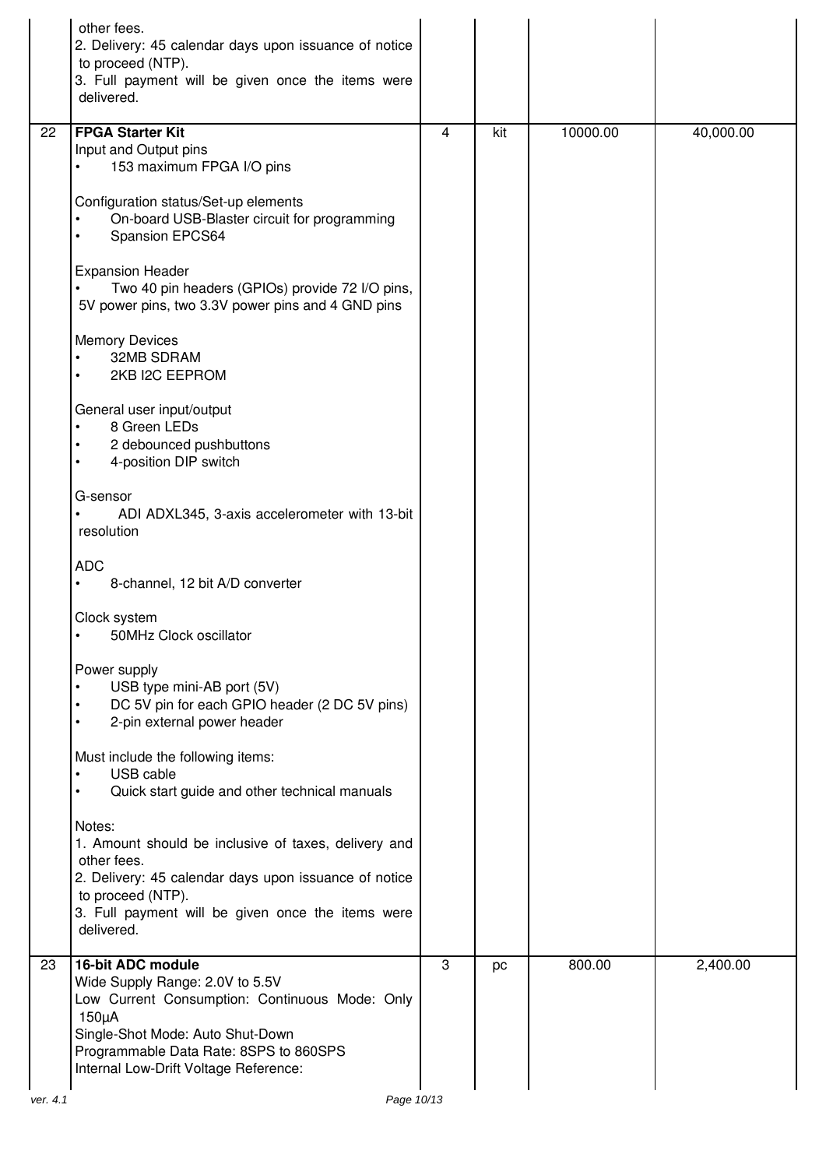|          | other fees.<br>2. Delivery: 45 calendar days upon issuance of notice<br>to proceed (NTP).<br>3. Full payment will be given once the items were<br>delivered.                                                                                |   |     |          |           |
|----------|---------------------------------------------------------------------------------------------------------------------------------------------------------------------------------------------------------------------------------------------|---|-----|----------|-----------|
| 22       | <b>FPGA Starter Kit</b><br>Input and Output pins<br>153 maximum FPGA I/O pins                                                                                                                                                               | 4 | kit | 10000.00 | 40,000.00 |
|          | Configuration status/Set-up elements<br>On-board USB-Blaster circuit for programming<br>Spansion EPCS64                                                                                                                                     |   |     |          |           |
|          | <b>Expansion Header</b><br>Two 40 pin headers (GPIOs) provide 72 I/O pins,<br>5V power pins, two 3.3V power pins and 4 GND pins                                                                                                             |   |     |          |           |
|          | <b>Memory Devices</b><br>32MB SDRAM<br>2KB I2C EEPROM<br>$\bullet$                                                                                                                                                                          |   |     |          |           |
|          | General user input/output<br>8 Green LEDs<br>2 debounced pushbuttons<br>4-position DIP switch                                                                                                                                               |   |     |          |           |
|          | G-sensor<br>ADI ADXL345, 3-axis accelerometer with 13-bit<br>resolution                                                                                                                                                                     |   |     |          |           |
|          | <b>ADC</b><br>8-channel, 12 bit A/D converter<br>$\bullet$                                                                                                                                                                                  |   |     |          |           |
|          | Clock system<br>50MHz Clock oscillator                                                                                                                                                                                                      |   |     |          |           |
|          | Power supply<br>USB type mini-AB port (5V)<br>DC 5V pin for each GPIO header (2 DC 5V pins)<br>2-pin external power header<br>$\bullet$                                                                                                     |   |     |          |           |
|          | Must include the following items:<br>USB cable<br>$\bullet$<br>Quick start guide and other technical manuals<br>$\bullet$                                                                                                                   |   |     |          |           |
|          | Notes:<br>1. Amount should be inclusive of taxes, delivery and<br>other fees.<br>2. Delivery: 45 calendar days upon issuance of notice<br>to proceed (NTP).<br>3. Full payment will be given once the items were                            |   |     |          |           |
|          | delivered.                                                                                                                                                                                                                                  |   |     |          |           |
| 23       | 16-bit ADC module<br>Wide Supply Range: 2.0V to 5.5V<br>Low Current Consumption: Continuous Mode: Only<br>$150\mu A$<br>Single-Shot Mode: Auto Shut-Down<br>Programmable Data Rate: 8SPS to 860SPS<br>Internal Low-Drift Voltage Reference: | 3 | pc  | 800.00   | 2,400.00  |
| ver. 4.1 | Page 10/13                                                                                                                                                                                                                                  |   |     |          |           |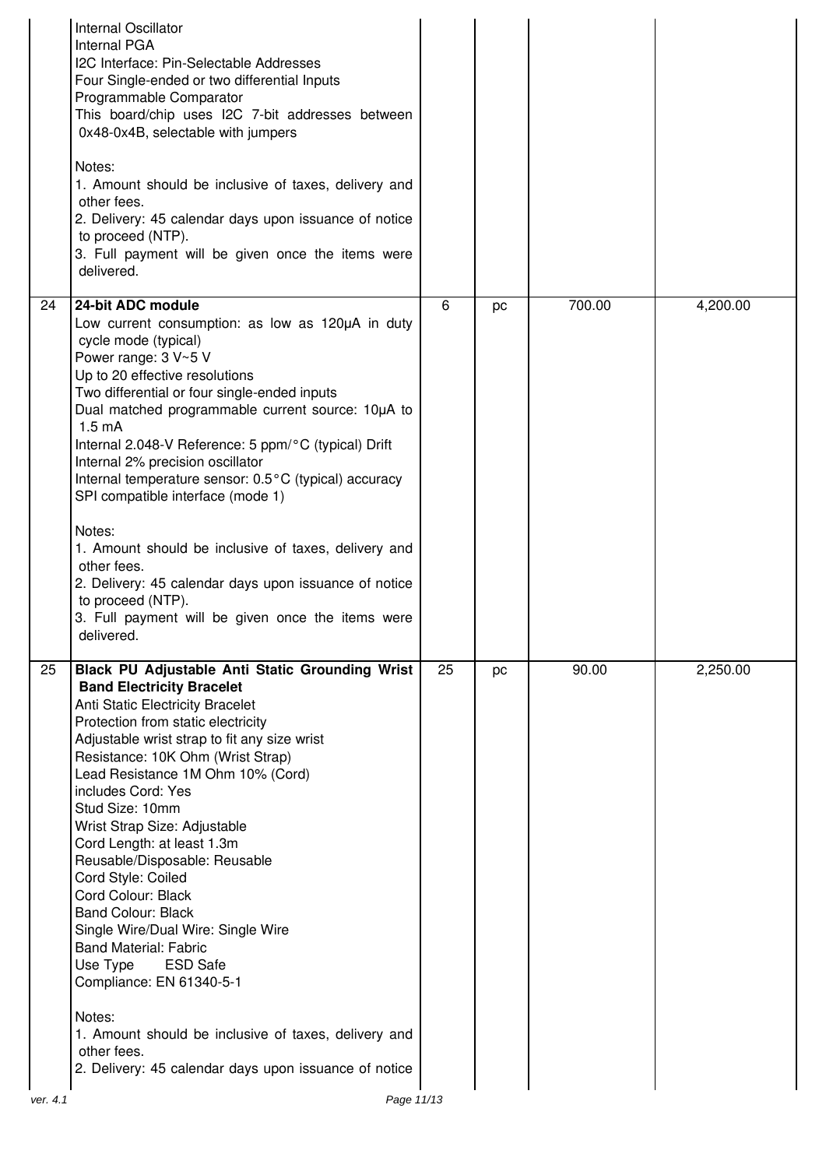|    | Internal Oscillator<br><b>Internal PGA</b><br>I2C Interface: Pin-Selectable Addresses<br>Four Single-ended or two differential Inputs<br>Programmable Comparator<br>This board/chip uses I2C 7-bit addresses between<br>0x48-0x4B, selectable with jumpers<br>Notes:<br>1. Amount should be inclusive of taxes, delivery and<br>other fees.<br>2. Delivery: 45 calendar days upon issuance of notice<br>to proceed (NTP).<br>3. Full payment will be given once the items were<br>delivered.                                                                                                                                                                                                                                                                                               |    |    |        |          |
|----|--------------------------------------------------------------------------------------------------------------------------------------------------------------------------------------------------------------------------------------------------------------------------------------------------------------------------------------------------------------------------------------------------------------------------------------------------------------------------------------------------------------------------------------------------------------------------------------------------------------------------------------------------------------------------------------------------------------------------------------------------------------------------------------------|----|----|--------|----------|
| 24 | 24-bit ADC module<br>Low current consumption: as low as 120µA in duty<br>cycle mode (typical)<br>Power range: 3 V~5 V<br>Up to 20 effective resolutions<br>Two differential or four single-ended inputs<br>Dual matched programmable current source: 10µA to<br>1.5 <sub>m</sub> A<br>Internal 2.048-V Reference: 5 ppm/°C (typical) Drift<br>Internal 2% precision oscillator<br>Internal temperature sensor: 0.5°C (typical) accuracy<br>SPI compatible interface (mode 1)<br>Notes:<br>1. Amount should be inclusive of taxes, delivery and<br>other fees.<br>2. Delivery: 45 calendar days upon issuance of notice<br>to proceed (NTP).<br>3. Full payment will be given once the items were<br>delivered.                                                                             | 6  | pc | 700.00 | 4,200.00 |
| 25 | <b>Black PU Adjustable Anti Static Grounding Wrist</b><br><b>Band Electricity Bracelet</b><br>Anti Static Electricity Bracelet<br>Protection from static electricity<br>Adjustable wrist strap to fit any size wrist<br>Resistance: 10K Ohm (Wrist Strap)<br>Lead Resistance 1M Ohm 10% (Cord)<br>includes Cord: Yes<br>Stud Size: 10mm<br>Wrist Strap Size: Adjustable<br>Cord Length: at least 1.3m<br>Reusable/Disposable: Reusable<br>Cord Style: Coiled<br>Cord Colour: Black<br><b>Band Colour: Black</b><br>Single Wire/Dual Wire: Single Wire<br><b>Band Material: Fabric</b><br>Use Type<br><b>ESD Safe</b><br>Compliance: EN 61340-5-1<br>Notes:<br>1. Amount should be inclusive of taxes, delivery and<br>other fees.<br>2. Delivery: 45 calendar days upon issuance of notice | 25 | pc | 90.00  | 2,250.00 |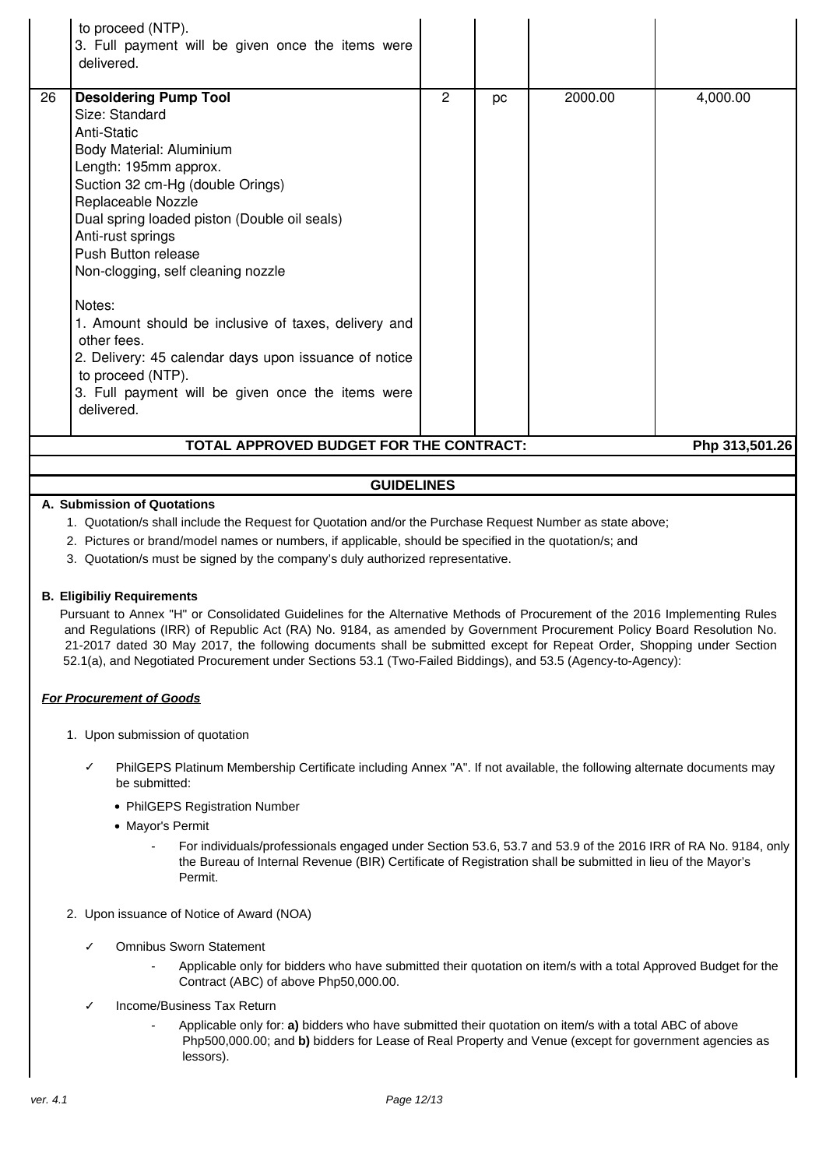|                                                           | to proceed (NTP).<br>3. Full payment will be given once the items were<br>delivered.                                                                                                                                                                                                                                                                                                                                                                                                                                                             |   |    |         |          |
|-----------------------------------------------------------|--------------------------------------------------------------------------------------------------------------------------------------------------------------------------------------------------------------------------------------------------------------------------------------------------------------------------------------------------------------------------------------------------------------------------------------------------------------------------------------------------------------------------------------------------|---|----|---------|----------|
| 26                                                        | <b>Desoldering Pump Tool</b><br>Size: Standard<br>Anti-Static<br>Body Material: Aluminium<br>Length: 195mm approx.<br>Suction 32 cm-Hg (double Orings)<br>Replaceable Nozzle<br>Dual spring loaded piston (Double oil seals)<br>Anti-rust springs<br>Push Button release<br>Non-clogging, self cleaning nozzle<br>Notes:<br>1. Amount should be inclusive of taxes, delivery and<br>other fees.<br>2. Delivery: 45 calendar days upon issuance of notice<br>to proceed (NTP).<br>3. Full payment will be given once the items were<br>delivered. | 2 | pc | 2000.00 | 4,000.00 |
| TOTAL APPROVED BUDGET FOR THE CONTRACT:<br>Php 313,501.26 |                                                                                                                                                                                                                                                                                                                                                                                                                                                                                                                                                  |   |    |         |          |

# **GUIDELINES**

### **A. Submission of Quotations**

- 1. Quotation/s shall include the Request for Quotation and/or the Purchase Request Number as state above;
- 2. Pictures or brand/model names or numbers, if applicable, should be specified in the quotation/s; and
- 3. Quotation/s must be signed by the company's duly authorized representative.

#### **B. Eligibiliy Requirements**

Pursuant to Annex "H" or Consolidated Guidelines for the Alternative Methods of Procurement of the 2016 Implementing Rules and Regulations (IRR) of Republic Act (RA) No. 9184, as amended by Government Procurement Policy Board Resolution No. 21-2017 dated 30 May 2017, the following documents shall be submitted except for Repeat Order, Shopping under Section 52.1(a), and Negotiated Procurement under Sections 53.1 (Two-Failed Biddings), and 53.5 (Agency-to-Agency):

### **For Procurement of Goods**

- 1. Upon submission of quotation
	- PhilGEPS Platinum Membership Certificate including Annex "A". If not available, the following alternate documents may be submitted:
		- PhilGEPS Registration Number
		- Mayor's Permit
			- For individuals/professionals engaged under Section 53.6, 53.7 and 53.9 of the 2016 IRR of RA No. 9184, only the Bureau of Internal Revenue (BIR) Certificate of Registration shall be submitted in lieu of the Mayor's Permit.
- 2. Upon issuance of Notice of Award (NOA)
	- ✓ Omnibus Sworn Statement
		- Applicable only for bidders who have submitted their quotation on item/s with a total Approved Budget for the Contract (ABC) of above Php50,000.00.
	- Income/Business Tax Return
		- Applicable only for: **a)** bidders who have submitted their quotation on item/s with a total ABC of above Php500,000.00; and **b)** bidders for Lease of Real Property and Venue (except for government agencies as lessors).